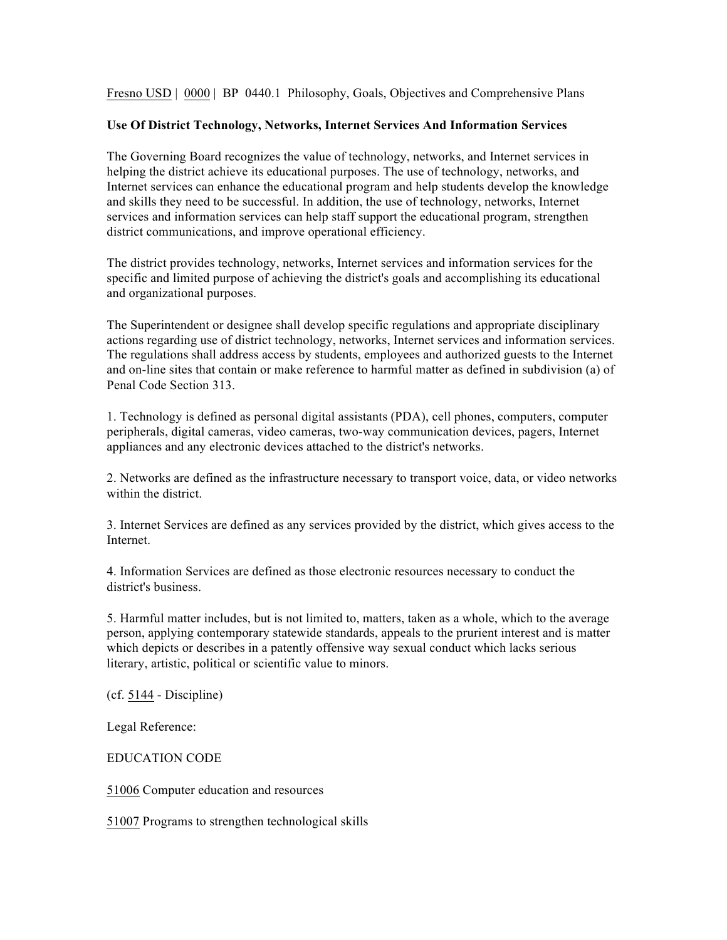Fresno USD | 0000 | BP 0440.1 Philosophy, Goals, Objectives and Comprehensive Plans

## **Use Of District Technology, Networks, Internet Services And Information Services**

The Governing Board recognizes the value of technology, networks, and Internet services in helping the district achieve its educational purposes. The use of technology, networks, and Internet services can enhance the educational program and help students develop the knowledge and skills they need to be successful. In addition, the use of technology, networks, Internet services and information services can help staff support the educational program, strengthen district communications, and improve operational efficiency.

The district provides technology, networks, Internet services and information services for the specific and limited purpose of achieving the district's goals and accomplishing its educational and organizational purposes.

The Superintendent or designee shall develop specific regulations and appropriate disciplinary actions regarding use of district technology, networks, Internet services and information services. The regulations shall address access by students, employees and authorized guests to the Internet and on-line sites that contain or make reference to harmful matter as defined in subdivision (a) of Penal Code Section 313.

1. Technology is defined as personal digital assistants (PDA), cell phones, computers, computer peripherals, digital cameras, video cameras, two-way communication devices, pagers, Internet appliances and any electronic devices attached to the district's networks.

2. Networks are defined as the infrastructure necessary to transport voice, data, or video networks within the district.

3. Internet Services are defined as any services provided by the district, which gives access to the Internet.

4. Information Services are defined as those electronic resources necessary to conduct the district's business.

5. Harmful matter includes, but is not limited to, matters, taken as a whole, which to the average person, applying contemporary statewide standards, appeals to the prurient interest and is matter which depicts or describes in a patently offensive way sexual conduct which lacks serious literary, artistic, political or scientific value to minors.

(cf. 5144 - Discipline)

Legal Reference:

EDUCATION CODE

51006 Computer education and resources

51007 Programs to strengthen technological skills